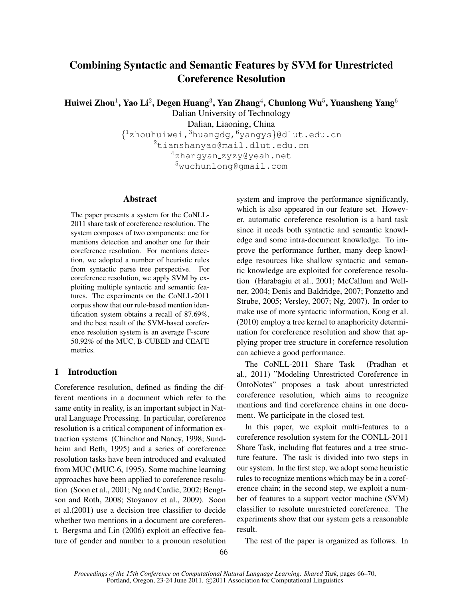# Combining Syntactic and Semantic Features by SVM for Unrestricted Coreference Resolution

Huiwei Zhou $^1$ , Yao Li $^2$ , Degen Huang $^3$ , Yan Zhang $^4$ , Chunlong Wu $^5$ , Yuansheng Yang $^6$ 

Dalian University of Technology

Dalian, Liaoning, China

{ <sup>1</sup>zhouhuiwei,<sup>3</sup>huangdg,<sup>6</sup>yangys}@dlut.edu.cn  $^{2}$ tianshanyao@mail.dlut.edu.cn <sup>4</sup>zhangyan zyzy@yeah.net

<sup>5</sup>wuchunlong@gmail.com

# Abstract

The paper presents a system for the CoNLL-2011 share task of coreference resolution. The system composes of two components: one for mentions detection and another one for their coreference resolution. For mentions detection, we adopted a number of heuristic rules from syntactic parse tree perspective. For coreference resolution, we apply SVM by exploiting multiple syntactic and semantic features. The experiments on the CoNLL-2011 corpus show that our rule-based mention identification system obtains a recall of 87.69%, and the best result of the SVM-based coreference resolution system is an average F-score 50.92% of the MUC, B-CUBED and CEAFE metrics.

# 1 Introduction

Coreference resolution, defined as finding the different mentions in a document which refer to the same entity in reality, is an important subject in Natural Language Processing. In particular, coreference resolution is a critical component of information extraction systems (Chinchor and Nancy, 1998; Sundheim and Beth, 1995) and a series of coreference resolution tasks have been introduced and evaluated from MUC (MUC-6, 1995). Some machine learning approaches have been applied to coreference resolution (Soon et al., 2001; Ng and Cardie, 2002; Bengtson and Roth, 2008; Stoyanov et al., 2009). Soon et al.(2001) use a decision tree classifier to decide whether two mentions in a document are coreferent. Bergsma and Lin (2006) exploit an effective feature of gender and number to a pronoun resolution system and improve the performance significantly, which is also appeared in our feature set. However, automatic coreference resolution is a hard task since it needs both syntactic and semantic knowledge and some intra-document knowledge. To improve the performance further, many deep knowledge resources like shallow syntactic and semantic knowledge are exploited for coreference resolution (Harabagiu et al., 2001; McCallum and Wellner, 2004; Denis and Baldridge, 2007; Ponzetto and Strube, 2005; Versley, 2007; Ng, 2007). In order to make use of more syntactic information, Kong et al. (2010) employ a tree kernel to anaphoricity determination for coreference resolution and show that applying proper tree structure in corefernce resolution can achieve a good performance.

The CoNLL-2011 Share Task (Pradhan et al., 2011) "Modeling Unrestricted Coreference in OntoNotes" proposes a task about unrestricted coreference resolution, which aims to recognize mentions and find coreference chains in one document. We participate in the closed test.

In this paper, we exploit multi-features to a coreference resolution system for the CONLL-2011 Share Task, including flat features and a tree structure feature. The task is divided into two steps in our system. In the first step, we adopt some heuristic rules to recognize mentions which may be in a coreference chain; in the second step, we exploit a number of features to a support vector machine (SVM) classifier to resolute unrestricted coreference. The experiments show that our system gets a reasonable result.

The rest of the paper is organized as follows. In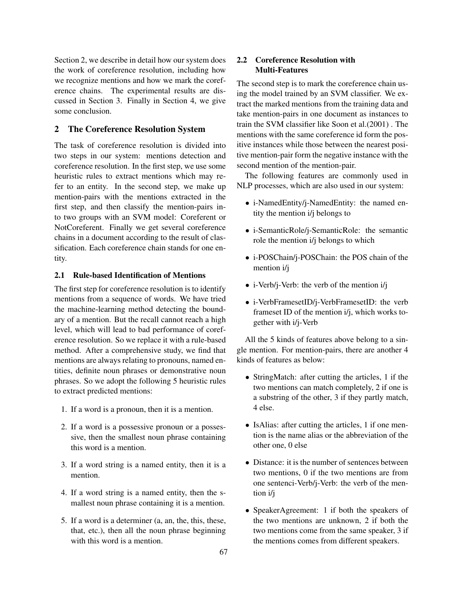Section 2, we describe in detail how our system does the work of coreference resolution, including how we recognize mentions and how we mark the coreference chains. The experimental results are discussed in Section 3. Finally in Section 4, we give some conclusion.

### 2 The Coreference Resolution System

The task of coreference resolution is divided into two steps in our system: mentions detection and coreference resolution. In the first step, we use some heuristic rules to extract mentions which may refer to an entity. In the second step, we make up mention-pairs with the mentions extracted in the first step, and then classify the mention-pairs into two groups with an SVM model: Coreferent or NotCoreferent. Finally we get several coreference chains in a document according to the result of classification. Each coreference chain stands for one entity.

#### 2.1 Rule-based Identification of Mentions

The first step for coreference resolution is to identify mentions from a sequence of words. We have tried the machine-learning method detecting the boundary of a mention. But the recall cannot reach a high level, which will lead to bad performance of coreference resolution. So we replace it with a rule-based method. After a comprehensive study, we find that mentions are always relating to pronouns, named entities, definite noun phrases or demonstrative noun phrases. So we adopt the following 5 heuristic rules to extract predicted mentions:

- 1. If a word is a pronoun, then it is a mention.
- 2. If a word is a possessive pronoun or a possessive, then the smallest noun phrase containing this word is a mention.
- 3. If a word string is a named entity, then it is a mention.
- 4. If a word string is a named entity, then the smallest noun phrase containing it is a mention.
- 5. If a word is a determiner (a, an, the, this, these, that, etc.), then all the noun phrase beginning with this word is a mention.

# 2.2 Coreference Resolution with Multi-Features

The second step is to mark the coreference chain using the model trained by an SVM classifier. We extract the marked mentions from the training data and take mention-pairs in one document as instances to train the SVM classifier like Soon et al.(2001) . The mentions with the same coreference id form the positive instances while those between the nearest positive mention-pair form the negative instance with the second mention of the mention-pair.

The following features are commonly used in NLP processes, which are also used in our system:

- i-NamedEntity/j-NamedEntity: the named entity the mention i/j belongs to
- i-SemanticRole/j-SemanticRole: the semantic role the mention i/j belongs to which
- i-POSChain/j-POSChain: the POS chain of the mention i/j
- i-Verb/j-Verb: the verb of the mention i/j
- i-VerbFramesetID/j-VerbFramesetID: the verb frameset ID of the mention i/j, which works together with i/j-Verb

All the 5 kinds of features above belong to a single mention. For mention-pairs, there are another 4 kinds of features as below:

- StringMatch: after cutting the articles, 1 if the two mentions can match completely, 2 if one is a substring of the other, 3 if they partly match, 4 else.
- IsAlias: after cutting the articles, 1 if one mention is the name alias or the abbreviation of the other one, 0 else
- Distance: it is the number of sentences between two mentions, 0 if the two mentions are from one sentenci-Verb/j-Verb: the verb of the mention i/j
- SpeakerAgreement: 1 if both the speakers of the two mentions are unknown, 2 if both the two mentions come from the same speaker, 3 if the mentions comes from different speakers.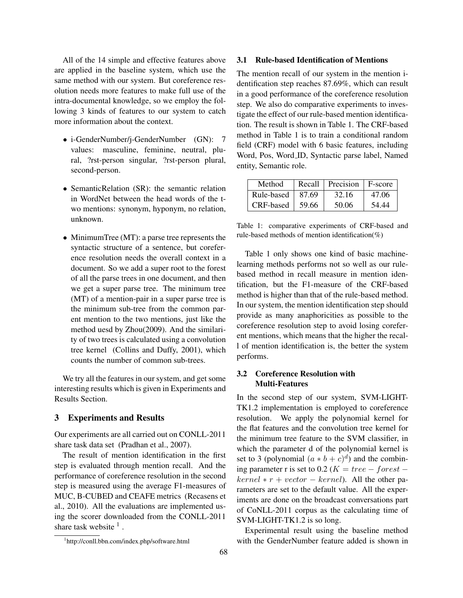All of the 14 simple and effective features above are applied in the baseline system, which use the same method with our system. But coreference resolution needs more features to make full use of the intra-documental knowledge, so we employ the following 3 kinds of features to our system to catch more information about the context.

- i-GenderNumber/j-GenderNumber (GN): 7 values: masculine, feminine, neutral, plural, ?rst-person singular, ?rst-person plural, second-person.
- SemanticRelation (SR): the semantic relation in WordNet between the head words of the two mentions: synonym, hyponym, no relation, unknown.
- MinimumTree (MT): a parse tree represents the syntactic structure of a sentence, but coreference resolution needs the overall context in a document. So we add a super root to the forest of all the parse trees in one document, and then we get a super parse tree. The minimum tree (MT) of a mention-pair in a super parse tree is the minimum sub-tree from the common parent mention to the two mentions, just like the method uesd by Zhou(2009). And the similarity of two trees is calculated using a convolution tree kernel (Collins and Duffy, 2001), which counts the number of common sub-trees.

We try all the features in our system, and get some interesting results which is given in Experiments and Results Section.

#### 3 Experiments and Results

Our experiments are all carried out on CONLL-2011 share task data set (Pradhan et al., 2007).

The result of mention identification in the first step is evaluated through mention recall. And the performance of coreference resolution in the second step is measured using the average F1-measures of MUC, B-CUBED and CEAFE metrics (Recasens et al., 2010). All the evaluations are implemented using the scorer downloaded from the CONLL-2011 share task website  $<sup>1</sup>$ .</sup>

#### 3.1 Rule-based Identification of Mentions

The mention recall of our system in the mention identification step reaches 87.69%, which can result in a good performance of the coreference resolution step. We also do comparative experiments to investigate the effect of our rule-based mention identification. The result is shown in Table 1. The CRF-based method in Table 1 is to train a conditional random field (CRF) model with 6 basic features, including Word, Pos, Word ID, Syntactic parse label, Named entity, Semantic role.

| Method     | Recall | Precision | F-score |
|------------|--------|-----------|---------|
| Rule-based | 87.69  | 32.16     | 47.06   |
| CRF-based  | 59.66  | 50.06     | 54.44   |

Table 1: comparative experiments of CRF-based and rule-based methods of mention identification(%)

Table 1 only shows one kind of basic machinelearning methods performs not so well as our rulebased method in recall measure in mention identification, but the F1-measure of the CRF-based method is higher than that of the rule-based method. In our system, the mention identification step should provide as many anaphoricities as possible to the coreference resolution step to avoid losing coreferent mentions, which means that the higher the recall of mention identification is, the better the system performs.

# 3.2 Coreference Resolution with Multi-Features

In the second step of our system, SVM-LIGHT-TK1.2 implementation is employed to coreference resolution. We apply the polynomial kernel for the flat features and the convolution tree kernel for the minimum tree feature to the SVM classifier, in which the parameter d of the polynomial kernel is set to 3 (polynomial  $(a * b + c)^d$ ) and the combining parameter r is set to 0.2 ( $K = tree - forest$  $kernel * r + vector - kernel$ ). All the other parameters are set to the default value. All the experiments are done on the broadcast conversations part of CoNLL-2011 corpus as the calculating time of SVM-LIGHT-TK1.2 is so long.

Experimental result using the baseline method with the GenderNumber feature added is shown in

<sup>1</sup> http://conll.bbn.com/index.php/software.html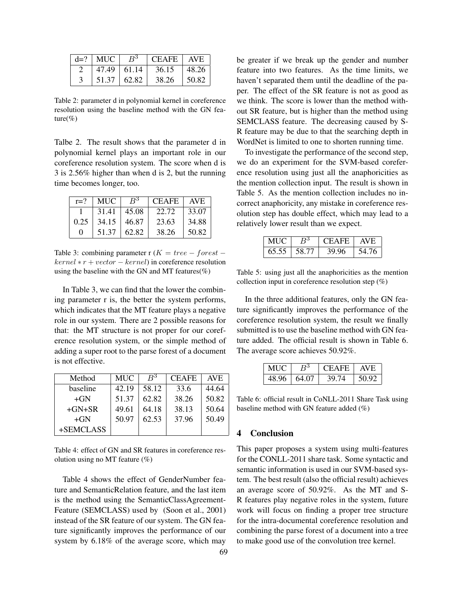| $d=?$   MUC   | $B^3$ | CEAFE   AVE |       |
|---------------|-------|-------------|-------|
| $47.49$ 61.14 |       | 36.15       | 48.26 |
| 51.37         | 62.82 | 38.26       | 50.82 |

Table 2: parameter d in polynomial kernel in coreference resolution using the baseline method with the GN feature( $%$ )

Talbe 2. The result shows that the parameter d in polynomial kernel plays an important role in our coreference resolution system. The score when d is 3 is 2.56% higher than when d is 2, but the running time becomes longer, too.

| $r=?$ | <b>MUC</b> | $R^3$ | <b>CEAFE</b> | <b>AVE</b> |
|-------|------------|-------|--------------|------------|
|       | 31.41      | 45.08 | 22.72        | 33.07      |
| 0.25  | 34.15      | 46.87 | 23.63        | 34.88      |
| 0     | 51.37      | 62.82 | 38.26        | 50.82      |

Table 3: combining parameter r ( $K = tree - forest$  $kernel * r + vector - kernel$ ) in coreference resolution using the baseline with the GN and MT features(%)

In Table 3, we can find that the lower the combining parameter r is, the better the system performs, which indicates that the MT feature plays a negative role in our system. There are 2 possible reasons for that: the MT structure is not proper for our coreference resolution system, or the simple method of adding a super root to the parse forest of a document is not effective.

| Method    | <b>MUC</b> | $R^3$ | <b>CEAFE</b> | <b>AVE</b> |
|-----------|------------|-------|--------------|------------|
| baseline  | 42.19      | 58.12 | 33.6         | 44.64      |
| $+GN$     | 51.37      | 62.82 | 38.26        | 50.82      |
| $+GN+SR$  | 49.61      | 64.18 | 38.13        | 50.64      |
| $+GN$     | 50.97      | 62.53 | 37.96        | 50.49      |
| +SEMCLASS |            |       |              |            |

Table 4: effect of GN and SR features in coreference resolution using no MT feature (%)

Table 4 shows the effect of GenderNumber feature and SemanticRelation feature, and the last item is the method using the SemanticClassAgreement-Feature (SEMCLASS) used by (Soon et al., 2001) instead of the SR feature of our system. The GN feature significantly improves the performance of our system by 6.18% of the average score, which may

be greater if we break up the gender and number feature into two features. As the time limits, we haven't separated them until the deadline of the paper. The effect of the SR feature is not as good as we think. The score is lower than the method without SR feature, but is higher than the method using SEMCLASS feature. The decreasing caused by S-R feature may be due to that the searching depth in WordNet is limited to one to shorten running time.

To investigate the performance of the second step, we do an experiment for the SVM-based coreference resolution using just all the anaphoricities as the mention collection input. The result is shown in Table 5. As the mention collection includes no incorrect anaphoricity, any mistake in coreference resolution step has double effect, which may lead to a relatively lower result than we expect.

|  |        | EAFE | AV. |
|--|--------|------|-----|
|  | י אר י |      |     |

Table 5: using just all the anaphoricities as the mention collection input in coreference resolution step  $(\%)$ 

In the three additional features, only the GN feature significantly improves the performance of the coreference resolution system, the result we finally submitted is to use the baseline method with GN feature added. The official result is shown in Table 6. The average score achieves 50.92%.

| MUC   | $B^3$ | <b>CEAFE</b> | AVE.  |
|-------|-------|--------------|-------|
| 48.96 | 64.07 | 39.74        | 50.92 |

Table 6: official result in CoNLL-2011 Share Task using baseline method with GN feature added (%)

### **Conclusion**

This paper proposes a system using multi-features for the CONLL-2011 share task. Some syntactic and semantic information is used in our SVM-based system. The best result (also the official result) achieves an average score of 50.92%. As the MT and S-R features play negative roles in the system, future work will focus on finding a proper tree structure for the intra-documental coreference resolution and combining the parse forest of a document into a tree to make good use of the convolution tree kernel.